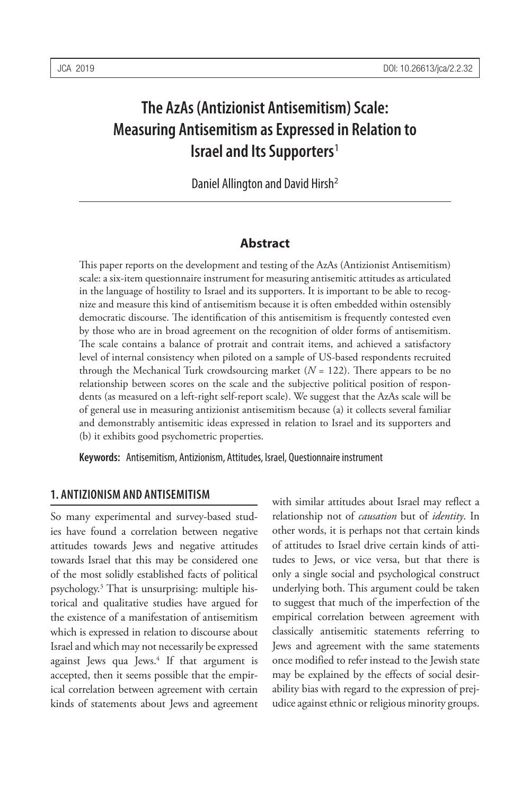# **The AzAs (Antizionist Antisemitism) Scale: Measuring Antisemitism as Expressed in Relation to Israel and Its Supporters**<sup>1</sup>

Daniel Allington and David Hirsh<sup>2</sup>

#### **Abstract**

This paper reports on the development and testing of the AzAs (Antizionist Antisemitism) scale: a six-item questionnaire instrument for measuring antisemitic attitudes as articulated in the language of hostility to Israel and its supporters. It is important to be able to recognize and measure this kind of antisemitism because it is often embedded within ostensibly democratic discourse. The identification of this antisemitism is frequently contested even by those who are in broad agreement on the recognition of older forms of antisemitism. The scale contains a balance of protrait and contrait items, and achieved a satisfactory level of internal consistency when piloted on a sample of US-based respondents recruited through the Mechanical Turk crowdsourcing market  $(N = 122)$ . There appears to be no relationship between scores on the scale and the subjective political position of respondents (as measured on a left-right self-report scale). We suggest that the AzAs scale will be of general use in measuring antizionist antisemitism because (a) it collects several familiar and demonstrably antisemitic ideas expressed in relation to Israel and its supporters and (b) it exhibits good psychometric properties.

**Keywords:** Antisemitism, Antizionism, Attitudes, Israel, Questionnaire instrument

#### **1. ANTIZIONISM AND ANTISEMITISM**

So many experimental and survey-based studies have found a correlation between negative attitudes towards Jews and negative attitudes towards Israel that this may be considered one of the most solidly established facts of political psychology.3 That is unsurprising: multiple historical and qualitative studies have argued for the existence of a manifestation of antisemitism which is expressed in relation to discourse about Israel and which may not necessarily be expressed against Jews qua Jews.<sup>4</sup> If that argument is accepted, then it seems possible that the empirical correlation between agreement with certain kinds of statements about Jews and agreement

with similar attitudes about Israel may reflect a relationship not of *causation* but of *identity*. In other words, it is perhaps not that certain kinds of attitudes to Israel drive certain kinds of attitudes to Jews, or vice versa, but that there is only a single social and psychological construct underlying both. This argument could be taken to suggest that much of the imperfection of the empirical correlation between agreement with classically antisemitic statements referring to Jews and agreement with the same statements once modified to refer instead to the Jewish state may be explained by the effects of social desirability bias with regard to the expression of prejudice against ethnic or religious minority groups.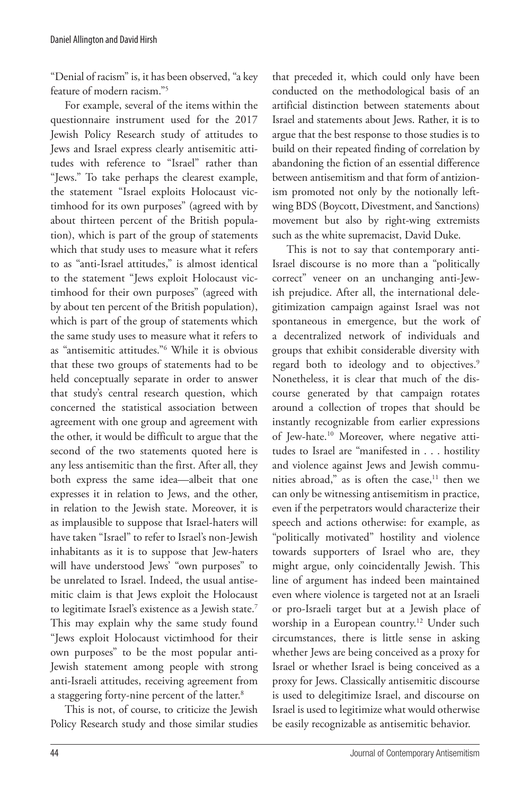"Denial of racism" is, it has been observed, "a key feature of modern racism<sup>"5</sup>

For example, several of the items within the questionnaire instrument used for the 2017 Jewish Policy Research study of attitudes to Jews and Israel express clearly antisemitic attitudes with reference to "Israel" rather than "Jews." To take perhaps the clearest example, the statement "Israel exploits Holocaust victimhood for its own purposes" (agreed with by about thirteen percent of the British population), which is part of the group of statements which that study uses to measure what it refers to as "anti-Israel attitudes," is almost identical to the statement "Jews exploit Holocaust victimhood for their own purposes" (agreed with by about ten percent of the British population), which is part of the group of statements which the same study uses to measure what it refers to as "antisemitic attitudes."6 While it is obvious that these two groups of statements had to be held conceptually separate in order to answer that study's central research question, which concerned the statistical association between agreement with one group and agreement with the other, it would be difficult to argue that the second of the two statements quoted here is any less antisemitic than the first. After all, they both express the same idea—albeit that one expresses it in relation to Jews, and the other, in relation to the Jewish state. Moreover, it is as implausible to suppose that Israel-haters will have taken "Israel" to refer to Israel's non-Jewish inhabitants as it is to suppose that Jew-haters will have understood Jews' "own purposes" to be unrelated to Israel. Indeed, the usual antisemitic claim is that Jews exploit the Holocaust to legitimate Israel's existence as a Jewish state.7 This may explain why the same study found "Jews exploit Holocaust victimhood for their own purposes" to be the most popular anti-Jewish statement among people with strong anti-Israeli attitudes, receiving agreement from a staggering forty-nine percent of the latter.8

This is not, of course, to criticize the Jewish Policy Research study and those similar studies that preceded it, which could only have been conducted on the methodological basis of an artificial distinction between statements about Israel and statements about Jews. Rather, it is to argue that the best response to those studies is to build on their repeated finding of correlation by abandoning the fiction of an essential difference between antisemitism and that form of antizionism promoted not only by the notionally leftwing BDS (Boycott, Divestment, and Sanctions) movement but also by right-wing extremists such as the white supremacist, David Duke.

This is not to say that contemporary anti-Israel discourse is no more than a "politically correct" veneer on an unchanging anti-Jewish prejudice. After all, the international delegitimization campaign against Israel was not spontaneous in emergence, but the work of a decentralized network of individuals and groups that exhibit considerable diversity with regard both to ideology and to objectives.<sup>9</sup> Nonetheless, it is clear that much of the discourse generated by that campaign rotates around a collection of tropes that should be instantly recognizable from earlier expressions of Jew-hate.10 Moreover, where negative attitudes to Israel are "manifested in . . . hostility and violence against Jews and Jewish communities abroad," as is often the case, $11$  then we can only be witnessing antisemitism in practice, even if the perpetrators would characterize their speech and actions otherwise: for example, as "politically motivated" hostility and violence towards supporters of Israel who are, they might argue, only coincidentally Jewish. This line of argument has indeed been maintained even where violence is targeted not at an Israeli or pro-Israeli target but at a Jewish place of worship in a European country.<sup>12</sup> Under such circumstances, there is little sense in asking whether Jews are being conceived as a proxy for Israel or whether Israel is being conceived as a proxy for Jews. Classically antisemitic discourse is used to delegitimize Israel, and discourse on Israel is used to legitimize what would otherwise be easily recognizable as antisemitic behavior.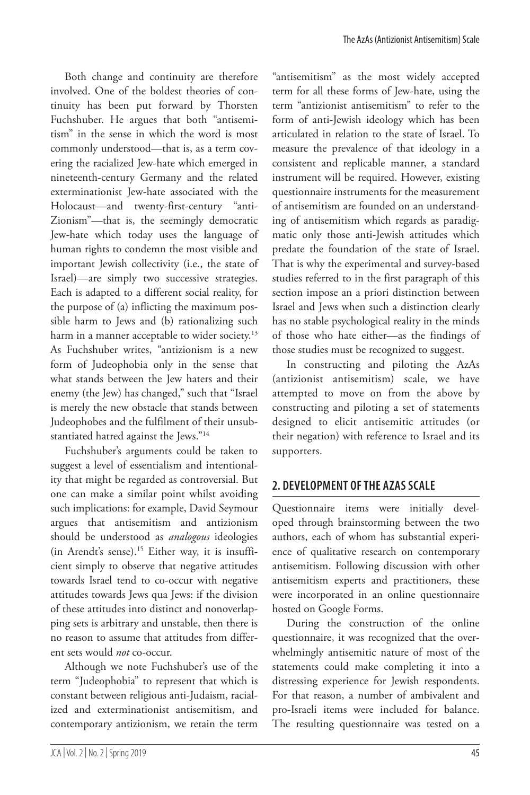Both change and continuity are therefore involved. One of the boldest theories of continuity has been put forward by Thorsten Fuchshuber. He argues that both "antisemitism" in the sense in which the word is most commonly understood—that is, as a term covering the racialized Jew-hate which emerged in nineteenth-century Germany and the related exterminationist Jew-hate associated with the Holocaust—and twenty-first-century "anti-Zionism"—that is, the seemingly democratic Jew-hate which today uses the language of human rights to condemn the most visible and important Jewish collectivity (i.e., the state of Israel)—are simply two successive strategies. Each is adapted to a different social reality, for the purpose of (a) inflicting the maximum possible harm to Jews and (b) rationalizing such harm in a manner acceptable to wider society.<sup>13</sup> As Fuchshuber writes, "antizionism is a new form of Judeophobia only in the sense that what stands between the Jew haters and their enemy (the Jew) has changed," such that "Israel is merely the new obstacle that stands between Judeophobes and the fulfilment of their unsubstantiated hatred against the Jews."14

Fuchshuber's arguments could be taken to suggest a level of essentialism and intentionality that might be regarded as controversial. But one can make a similar point whilst avoiding such implications: for example, David Seymour argues that antisemitism and antizionism should be understood as *analogous* ideologies (in Arendt's sense).15 Either way, it is insufficient simply to observe that negative attitudes towards Israel tend to co-occur with negative attitudes towards Jews qua Jews: if the division of these attitudes into distinct and nonoverlapping sets is arbitrary and unstable, then there is no reason to assume that attitudes from different sets would *not* co-occur.

Although we note Fuchshuber's use of the term "Judeophobia" to represent that which is constant between religious anti-Judaism, racialized and exterminationist antisemitism, and contemporary antizionism, we retain the term "antisemitism" as the most widely accepted term for all these forms of Jew-hate, using the term "antizionist antisemitism" to refer to the form of anti-Jewish ideology which has been articulated in relation to the state of Israel. To measure the prevalence of that ideology in a consistent and replicable manner, a standard instrument will be required. However, existing questionnaire instruments for the measurement of antisemitism are founded on an understanding of antisemitism which regards as paradigmatic only those anti-Jewish attitudes which predate the foundation of the state of Israel. That is why the experimental and survey-based studies referred to in the first paragraph of this section impose an a priori distinction between Israel and Jews when such a distinction clearly has no stable psychological reality in the minds of those who hate either—as the findings of those studies must be recognized to suggest.

In constructing and piloting the AzAs (antizionist antisemitism) scale, we have attempted to move on from the above by constructing and piloting a set of statements designed to elicit antisemitic attitudes (or their negation) with reference to Israel and its supporters.

# **2. DEVELOPMENT OF THE AZAS SCALE**

Questionnaire items were initially developed through brainstorming between the two authors, each of whom has substantial experience of qualitative research on contemporary antisemitism. Following discussion with other antisemitism experts and practitioners, these were incorporated in an online questionnaire hosted on Google Forms.

During the construction of the online questionnaire, it was recognized that the overwhelmingly antisemitic nature of most of the statements could make completing it into a distressing experience for Jewish respondents. For that reason, a number of ambivalent and pro-Israeli items were included for balance. The resulting questionnaire was tested on a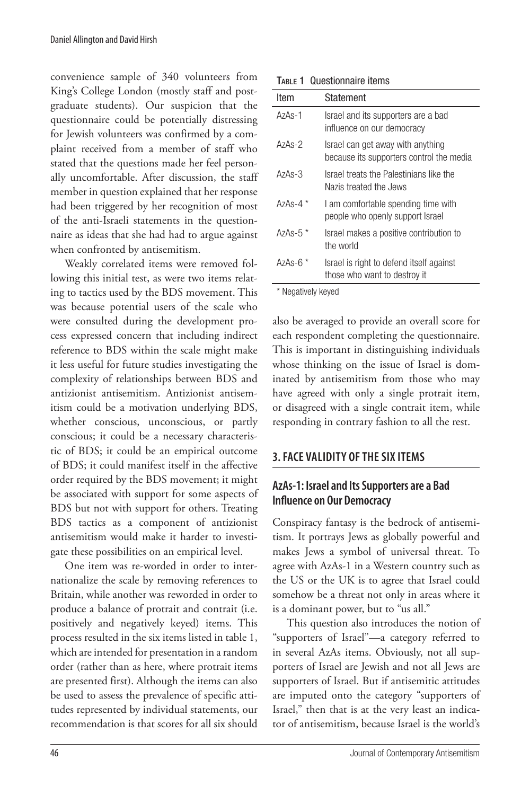convenience sample of 340 volunteers from King's College London (mostly staff and postgraduate students). Our suspicion that the questionnaire could be potentially distressing for Jewish volunteers was confirmed by a complaint received from a member of staff who stated that the questions made her feel personally uncomfortable. After discussion, the staff member in question explained that her response had been triggered by her recognition of most of the anti-Israeli statements in the questionnaire as ideas that she had had to argue against when confronted by antisemitism.

Weakly correlated items were removed following this initial test, as were two items relating to tactics used by the BDS movement. This was because potential users of the scale who were consulted during the development process expressed concern that including indirect reference to BDS within the scale might make it less useful for future studies investigating the complexity of relationships between BDS and antizionist antisemitism. Antizionist antisemitism could be a motivation underlying BDS, whether conscious, unconscious, or partly conscious; it could be a necessary characteristic of BDS; it could be an empirical outcome of BDS; it could manifest itself in the affective order required by the BDS movement; it might be associated with support for some aspects of BDS but not with support for others. Treating BDS tactics as a component of antizionist antisemitism would make it harder to investigate these possibilities on an empirical level.

One item was re-worded in order to internationalize the scale by removing references to Britain, while another was reworded in order to produce a balance of protrait and contrait (i.e. positively and negatively keyed) items. This process resulted in the six items listed in table 1, which are intended for presentation in a random order (rather than as here, where protrait items are presented first). Although the items can also be used to assess the prevalence of specific attitudes represented by individual statements, our recommendation is that scores for all six should

| Item       | Statement                                                                     |
|------------|-------------------------------------------------------------------------------|
| $A7AS - 1$ | Israel and its supporters are a bad<br>influence on our democracy             |
| $A7AS - 2$ | Israel can get away with anything<br>because its supporters control the media |
| $A7AS - 3$ | Israel treats the Palestinians like the<br>Nazis treated the Jews             |
| $A7AS-4$   | I am comfortable spending time with<br>people who openly support Israel       |
| $AzAs-5*$  | Israel makes a positive contribution to<br>the world                          |
| $AzAs-6$ * | Israel is right to defend itself against<br>those who want to destroy it      |

\* Negatively keyed

also be averaged to provide an overall score for each respondent completing the questionnaire. This is important in distinguishing individuals whose thinking on the issue of Israel is dominated by antisemitism from those who may have agreed with only a single protrait item, or disagreed with a single contrait item, while responding in contrary fashion to all the rest.

#### **3. FACE VALIDITY OF THE SIX ITEMS**

#### **AzAs-1: Israel and Its Supporters are a Bad Influence on Our Democracy**

Conspiracy fantasy is the bedrock of antisemitism. It portrays Jews as globally powerful and makes Jews a symbol of universal threat. To agree with AzAs-1 in a Western country such as the US or the UK is to agree that Israel could somehow be a threat not only in areas where it is a dominant power, but to "us all."

This question also introduces the notion of "supporters of Israel"—a category referred to in several AzAs items. Obviously, not all supporters of Israel are Jewish and not all Jews are supporters of Israel. But if antisemitic attitudes are imputed onto the category "supporters of Israel," then that is at the very least an indicator of antisemitism, because Israel is the world's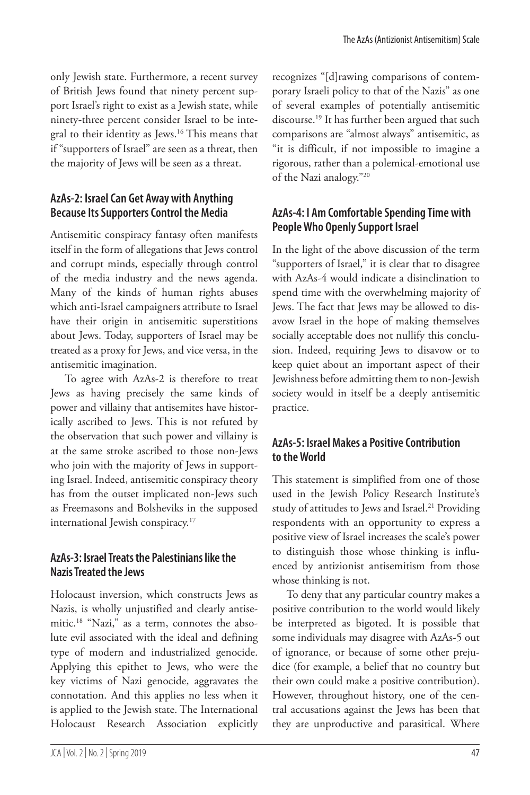only Jewish state. Furthermore, a recent survey of British Jews found that ninety percent support Israel's right to exist as a Jewish state, while ninety-three percent consider Israel to be integral to their identity as Jews.16 This means that if "supporters of Israel" are seen as a threat, then the majority of Jews will be seen as a threat.

# **AzAs-2: Israel Can Get Away with Anything Because Its Supporters Control the Media**

Antisemitic conspiracy fantasy often manifests itself in the form of allegations that Jews control and corrupt minds, especially through control of the media industry and the news agenda. Many of the kinds of human rights abuses which anti-Israel campaigners attribute to Israel have their origin in antisemitic superstitions about Jews. Today, supporters of Israel may be treated as a proxy for Jews, and vice versa, in the antisemitic imagination.

To agree with AzAs-2 is therefore to treat Jews as having precisely the same kinds of power and villainy that antisemites have historically ascribed to Jews. This is not refuted by the observation that such power and villainy is at the same stroke ascribed to those non-Jews who join with the majority of Jews in supporting Israel. Indeed, antisemitic conspiracy theory has from the outset implicated non-Jews such as Freemasons and Bolsheviks in the supposed international Jewish conspiracy.<sup>17</sup>

# **AzAs-3: Israel Treats the Palestinians like the Nazis Treated the Jews**

Holocaust inversion, which constructs Jews as Nazis, is wholly unjustified and clearly antisemitic.18 "Nazi," as a term, connotes the absolute evil associated with the ideal and defining type of modern and industrialized genocide. Applying this epithet to Jews, who were the key victims of Nazi genocide, aggravates the connotation. And this applies no less when it is applied to the Jewish state. The International Holocaust Research Association explicitly recognizes "[d]rawing comparisons of contemporary Israeli policy to that of the Nazis" as one of several examples of potentially antisemitic discourse.19 It has further been argued that such comparisons are "almost always" antisemitic, as "it is difficult, if not impossible to imagine a rigorous, rather than a polemical-emotional use of the Nazi analogy."20

# **AzAs-4: I Am Comfortable Spending Time with People Who Openly Support Israel**

In the light of the above discussion of the term "supporters of Israel," it is clear that to disagree with AzAs-4 would indicate a disinclination to spend time with the overwhelming majority of Jews. The fact that Jews may be allowed to disavow Israel in the hope of making themselves socially acceptable does not nullify this conclusion. Indeed, requiring Jews to disavow or to keep quiet about an important aspect of their Jewishness before admitting them to non-Jewish society would in itself be a deeply antisemitic practice.

# **AzAs-5: Israel Makes a Positive Contribution to the World**

This statement is simplified from one of those used in the Jewish Policy Research Institute's study of attitudes to Jews and Israel.<sup>21</sup> Providing respondents with an opportunity to express a positive view of Israel increases the scale's power to distinguish those whose thinking is influenced by antizionist antisemitism from those whose thinking is not.

To deny that any particular country makes a positive contribution to the world would likely be interpreted as bigoted. It is possible that some individuals may disagree with AzAs-5 out of ignorance, or because of some other prejudice (for example, a belief that no country but their own could make a positive contribution). However, throughout history, one of the central accusations against the Jews has been that they are unproductive and parasitical. Where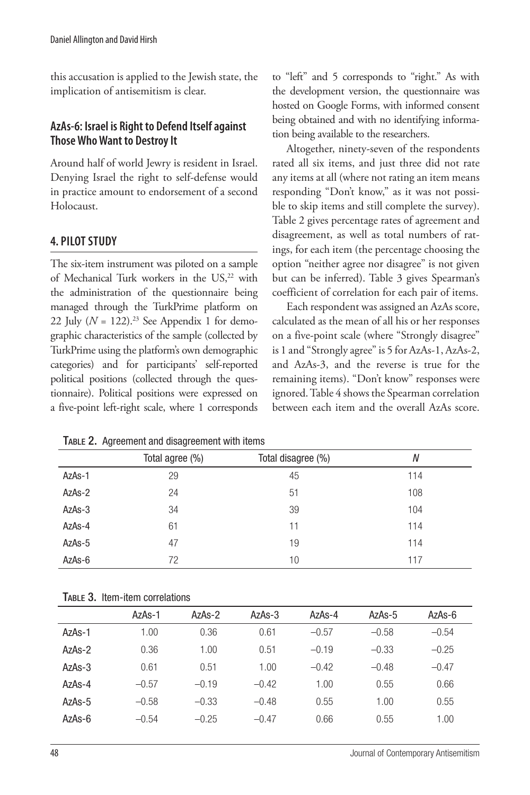this accusation is applied to the Jewish state, the implication of antisemitism is clear.

#### **AzAs-6: Israel is Right to Defend Itself against Those Who Want to Destroy It**

Around half of world Jewry is resident in Israel. Denying Israel the right to self-defense would in practice amount to endorsement of a second Holocaust.

# **4. PILOT STUDY**

The six-item instrument was piloted on a sample of Mechanical Turk workers in the US,<sup>22</sup> with the administration of the questionnaire being managed through the TurkPrime platform on 22 July ( $N = 122$ ).<sup>23</sup> See Appendix 1 for demographic characteristics of the sample (collected by TurkPrime using the platform's own demographic categories) and for participants' self-reported political positions (collected through the questionnaire). Political positions were expressed on a five-point left-right scale, where 1 corresponds to "left" and 5 corresponds to "right." As with the development version, the questionnaire was hosted on Google Forms, with informed consent being obtained and with no identifying information being available to the researchers.

Altogether, ninety-seven of the respondents rated all six items, and just three did not rate any items at all (where not rating an item means responding "Don't know," as it was not possible to skip items and still complete the survey). Table 2 gives percentage rates of agreement and disagreement, as well as total numbers of ratings, for each item (the percentage choosing the option "neither agree nor disagree" is not given but can be inferred). Table 3 gives Spearman's coefficient of correlation for each pair of items.

Each respondent was assigned an AzAs score, calculated as the mean of all his or her responses on a five-point scale (where "Strongly disagree" is 1 and "Strongly agree" is 5 for AzAs-1, AzAs-2, and AzAs-3, and the reverse is true for the remaining items). "Don't know" responses were ignored. Table 4 shows the Spearman correlation between each item and the overall AzAs score.

|        | Total agree (%) | Total disagree (%) | N   |  |
|--------|-----------------|--------------------|-----|--|
| AzAs-1 | 29              | 45                 | 114 |  |
| AzAs-2 | 24              | 51                 | 108 |  |
| AzAs-3 | 34              | 39                 | 104 |  |
| AzAs-4 | 61              | 11                 | 114 |  |
| AzAs-5 | 47              | 19                 | 114 |  |
| AzAs-6 | 72              | 10                 | 117 |  |

Table 2. Agreement and disagreement with items

|  |  |  | TABLE 3. Item-item correlations |
|--|--|--|---------------------------------|
|--|--|--|---------------------------------|

|            | AzAs-1  | AzAs-2  | $AzAs-3$ | AzAs-4  | $AzAs-5$ | AzAs-6  |
|------------|---------|---------|----------|---------|----------|---------|
| AzAs-1     | 1.00    | 0.36    | 0.61     | $-0.57$ | $-0.58$  | $-0.54$ |
| $A7AS - 2$ | 0.36    | 1.00    | 0.51     | $-0.19$ | $-0.33$  | $-0.25$ |
| $AzAs-3$   | 0.61    | 0.51    | 1.00     | $-0.42$ | $-0.48$  | $-0.47$ |
| $A7AS - 4$ | $-0.57$ | $-0.19$ | $-0.42$  | 1.00    | 0.55     | 0.66    |
| $AzAs-5$   | $-0.58$ | $-0.33$ | $-0.48$  | 0.55    | 1.00     | 0.55    |
| AzAs-6     | $-0.54$ | $-0.25$ | $-0.47$  | 0.66    | 0.55     | 1.00    |
|            |         |         |          |         |          |         |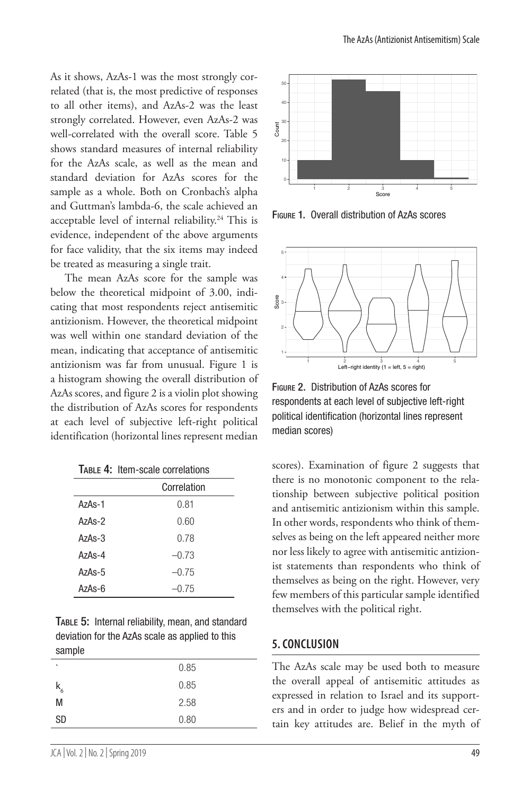As it shows, AzAs-1 was the most strongly correlated (that is, the most predictive of responses to all other items), and AzAs-2 was the least strongly correlated. However, even AzAs-2 was well-correlated with the overall score. Table 5 shows standard measures of internal reliability for the AzAs scale, as well as the mean and standard deviation for AzAs scores for the sample as a whole. Both on Cronbach's alpha and Guttman's lambda-6, the scale achieved an acceptable level of internal reliability.<sup>24</sup> This is evidence, independent of the above arguments for face validity, that the six items may indeed be treated as measuring a single trait.

The mean AzAs score for the sample was below the theoretical midpoint of 3.00, indicating that most respondents reject antisemitic antizionism. However, the theoretical midpoint was well within one standard deviation of the mean, indicating that acceptance of antisemitic antizionism was far from unusual. Figure 1 is a histogram showing the overall distribution of AzAs scores, and figure 2 is a violin plot showing the distribution of AzAs scores for respondents at each level of subjective left-right political identification (horizontal lines represent median

| TABLE 4: Item-scale correlations |  |
|----------------------------------|--|
|----------------------------------|--|

|            | Correlation |  |  |  |
|------------|-------------|--|--|--|
| $A7AS-1$   | 0.81        |  |  |  |
| $A7AS - 2$ | 0.60        |  |  |  |
| $AzAs-3$   | 0.78        |  |  |  |
| $A7AS - 4$ | $-0.73$     |  |  |  |
| $AzAs-5$   | $-0.75$     |  |  |  |
| AzAs-6     | $-0.75$     |  |  |  |

|        | <b>TABLE 5: Internal reliability, mean, and standard</b> |
|--------|----------------------------------------------------------|
|        | deviation for the AzAs scale as applied to this          |
| sample |                                                          |

| $\cdot$   | 0.85 |
|-----------|------|
|           | 0.85 |
| $k_{6}$   |      |
| M         | 2.58 |
| <b>SD</b> | 0.80 |
|           |      |



Figure 1. Overall distribution of AzAs scores



Figure 2. Distribution of AzAs scores for respondents at each level of subjective left-right political identification (horizontal lines represent median scores)

scores). Examination of figure 2 suggests that there is no monotonic component to the relationship between subjective political position and antisemitic antizionism within this sample. In other words, respondents who think of themselves as being on the left appeared neither more nor less likely to agree with antisemitic antizionist statements than respondents who think of themselves as being on the right. However, very few members of this particular sample identified themselves with the political right.

#### **5. CONCLUSION**

The AzAs scale may be used both to measure the overall appeal of antisemitic attitudes as expressed in relation to Israel and its supporters and in order to judge how widespread certain key attitudes are. Belief in the myth of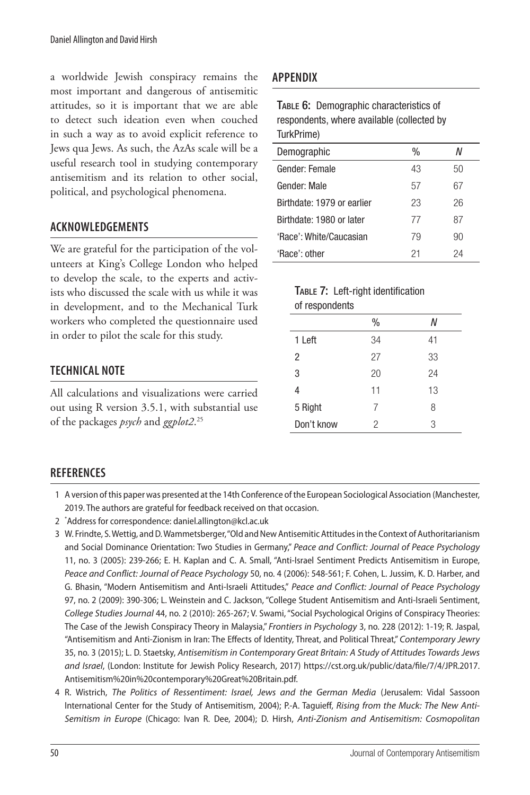a worldwide Jewish conspiracy remains the most important and dangerous of antisemitic attitudes, so it is important that we are able to detect such ideation even when couched in such a way as to avoid explicit reference to Jews qua Jews. As such, the AzAs scale will be a useful research tool in studying contemporary antisemitism and its relation to other social, political, and psychological phenomena.

#### **ACKNOWLEDGEMENTS**

We are grateful for the participation of the volunteers at King's College London who helped to develop the scale, to the experts and activists who discussed the scale with us while it was in development, and to the Mechanical Turk workers who completed the questionnaire used in order to pilot the scale for this study.

# **TECHNICAL NOTE**

All calculations and visualizations were carried out using R version 3.5.1, with substantial use of the packages *psych* and *ggplot2*. 25

# **APPENDIX**

| TABLE 6: Demographic characteristics of<br>respondents, where available (collected by<br>TurkPrime) |      |    |  |
|-----------------------------------------------------------------------------------------------------|------|----|--|
| Demographic                                                                                         | $\%$ | N  |  |
| Gender: Female                                                                                      | 43   | 50 |  |
| 67<br>Gender: Male<br>57                                                                            |      |    |  |
| Birthdate: 1979 or earlier                                                                          | 23   | 26 |  |
| Birthdate: 1980 or later                                                                            | 77   | 87 |  |
| 'Race': White/Caucasian                                                                             | 79   | 90 |  |
| 'Race': other                                                                                       | 21   | 24 |  |

#### TABLE 7: Left-right identification of respondents

| .              |      |    |
|----------------|------|----|
|                | $\%$ | Ν  |
| 1 Left         | 34   | 41 |
| $\overline{c}$ | 27   | 33 |
| 3              | 20   | 24 |
| 4              | 11   | 13 |
| 5 Right        | 7    | 8  |
| Don't know     | 2    | 3  |

#### **REFERENCES**

- 2 \* Address for correspondence: daniel.allington@kcl.ac.uk
- 3 W. Frindte, S. Wettig, and D. Wammetsberger, "Old and New Antisemitic Attitudes in the Context of Authoritarianism and Social Dominance Orientation: Two Studies in Germany," *Peace and Conflict: Journal of Peace Psychology* 11, no. 3 (2005): 239-266; E. H. Kaplan and C. A. Small, "Anti-Israel Sentiment Predicts Antisemitism in Europe, *Peace and Conflict: Journal of Peace Psychology* 50, no. 4 (2006): 548-561; F. Cohen, L. Jussim, K. D. Harber, and G. Bhasin, "Modern Antisemitism and Anti-Israeli Attitudes," *Peace and Conflict: Journal of Peace Psychology* 97, no. 2 (2009): 390-306; L. Weinstein and C. Jackson, "College Student Antisemitism and Anti-Israeli Sentiment, *College Studies Journal* 44, no. 2 (2010): 265-267; V. Swami, "Social Psychological Origins of Conspiracy Theories: The Case of the Jewish Conspiracy Theory in Malaysia," *Frontiers in Psychology* 3, no. 228 (2012): 1-19; R. Jaspal, "Antisemitism and Anti-Zionism in Iran: The Effects of Identity, Threat, and Political Threat," *Contemporary Jewry* 35, no. 3 (2015); L. D. Staetsky, *Antisemitism in Contemporary Great Britain: A Study of Attitudes Towards Jews and Israel*, (London: Institute for Jewish Policy Research, 2017) https://cst.org.uk/public/data/file/7/4/JPR.2017. Antisemitism%20in%20contemporary%20Great%20Britain.pdf.
- 4 R. Wistrich, *The Politics of Ressentiment: Israel, Jews and the German Media* (Jerusalem: Vidal Sassoon International Center for the Study of Antisemitism, 2004); P.-A. Taguieff, *Rising from the Muck: The New Anti-Semitism in Europe* (Chicago: Ivan R. Dee, 2004); D. Hirsh, *Anti-Zionism and Antisemitism: Cosmopolitan*

<sup>1</sup> A version of this paper was presented at the 14th Conference of the European Sociological Association (Manchester, 2019. The authors are grateful for feedback received on that occasion.